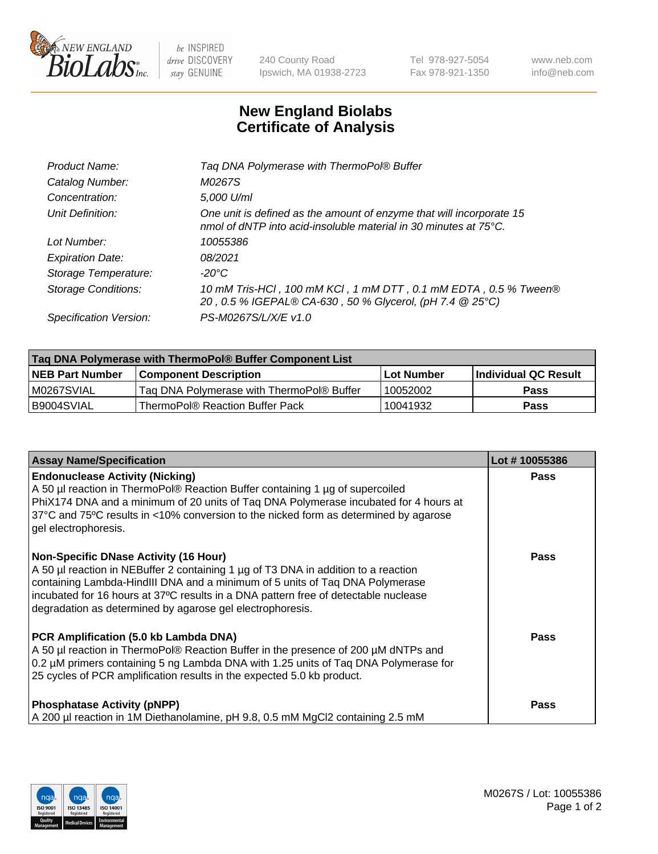

 $be$  INSPIRED drive DISCOVERY stay GENUINE

240 County Road Ipswich, MA 01938-2723 Tel 978-927-5054 Fax 978-921-1350 www.neb.com info@neb.com

## **New England Biolabs Certificate of Analysis**

| Taq DNA Polymerase with ThermoPol® Buffer                                                                                                |
|------------------------------------------------------------------------------------------------------------------------------------------|
| M0267S                                                                                                                                   |
| 5,000 U/ml                                                                                                                               |
| One unit is defined as the amount of enzyme that will incorporate 15<br>nmol of dNTP into acid-insoluble material in 30 minutes at 75°C. |
| 10055386                                                                                                                                 |
| 08/2021                                                                                                                                  |
| $-20^{\circ}$ C                                                                                                                          |
| 10 mM Tris-HCl, 100 mM KCl, 1 mM DTT, 0.1 mM EDTA, 0.5 % Tween®<br>20, 0.5 % IGEPAL® CA-630, 50 % Glycerol, (pH 7.4 @ 25°C)              |
| PS-M0267S/L/X/E v1.0                                                                                                                     |
|                                                                                                                                          |

| Taq DNA Polymerase with ThermoPol® Buffer Component List |                                           |                   |                      |  |  |
|----------------------------------------------------------|-------------------------------------------|-------------------|----------------------|--|--|
| <b>NEB Part Number</b>                                   | <b>Component Description</b>              | <b>Lot Number</b> | Individual QC Result |  |  |
| M0267SVIAL                                               | Taq DNA Polymerase with ThermoPol® Buffer | 10052002          | <b>Pass</b>          |  |  |
| I B9004SVIAL                                             | ThermoPol® Reaction Buffer Pack           | 10041932          | Pass                 |  |  |

| <b>Assay Name/Specification</b>                                                                                                                                                                                                                                                                                                                                        | Lot #10055386 |
|------------------------------------------------------------------------------------------------------------------------------------------------------------------------------------------------------------------------------------------------------------------------------------------------------------------------------------------------------------------------|---------------|
| <b>Endonuclease Activity (Nicking)</b><br>A 50 µl reaction in ThermoPol® Reaction Buffer containing 1 µg of supercoiled<br>PhiX174 DNA and a minimum of 20 units of Taq DNA Polymerase incubated for 4 hours at<br>37°C and 75°C results in <10% conversion to the nicked form as determined by agarose<br>gel electrophoresis.                                        | <b>Pass</b>   |
| <b>Non-Specific DNase Activity (16 Hour)</b><br>A 50 µl reaction in NEBuffer 2 containing 1 µg of T3 DNA in addition to a reaction<br>containing Lambda-HindIII DNA and a minimum of 5 units of Taq DNA Polymerase<br>incubated for 16 hours at 37°C results in a DNA pattern free of detectable nuclease<br>degradation as determined by agarose gel electrophoresis. | Pass          |
| PCR Amplification (5.0 kb Lambda DNA)<br>A 50 µl reaction in ThermoPol® Reaction Buffer in the presence of 200 µM dNTPs and<br>0.2 µM primers containing 5 ng Lambda DNA with 1.25 units of Taq DNA Polymerase for<br>25 cycles of PCR amplification results in the expected 5.0 kb product.                                                                           | Pass          |
| <b>Phosphatase Activity (pNPP)</b><br>A 200 µl reaction in 1M Diethanolamine, pH 9.8, 0.5 mM MgCl2 containing 2.5 mM                                                                                                                                                                                                                                                   | Pass          |